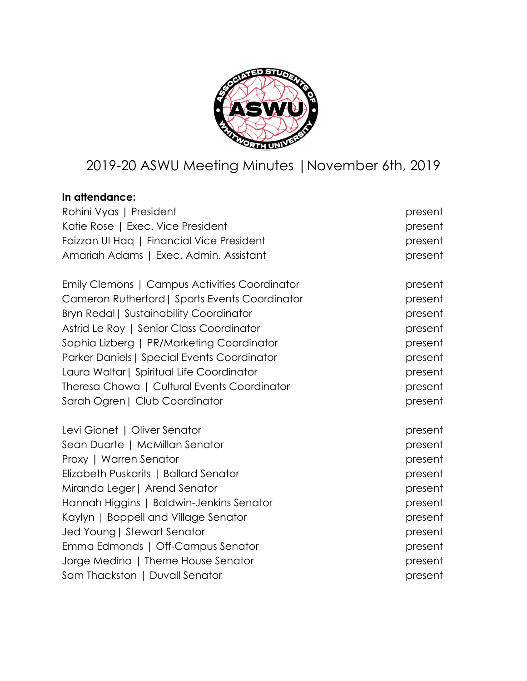

# 2019-20 ASWU Meeting Minutes |November 6th, 2019

# **In attendance:**

| Rohini Vyas   President                        | present |
|------------------------------------------------|---------|
| Katie Rose   Exec. Vice President              | present |
| Faizzan UI Hag   Financial Vice President      | present |
| Amariah Adams   Exec. Admin. Assistant         | present |
| Emily Clemons   Campus Activities Coordinator  | present |
| Cameron Rutherford   Sports Events Coordinator | present |
| <b>Bryn Redal   Sustainability Coordinator</b> | present |
| Astrid Le Roy   Senior Class Coordinator       | present |
| Sophia Lizberg   PR/Marketing Coordinator      | present |
| Parker Daniels   Special Events Coordinator    | present |
| Laura Waltar   Spiritual Life Coordinator      | present |
| Theresa Chowa   Cultural Events Coordinator    | present |
| Sarah Ogren   Club Coordinator                 | present |
| Levi Gionet   Oliver Senator                   | present |
| Sean Duarte   McMillan Senator                 | present |
| Proxy   Warren Senator                         | present |
| Elizabeth Puskarits   Ballard Senator          | present |
| Miranda Leger   Arend Senator                  | present |
| Hannah Higgins   Baldwin-Jenkins Senator       | present |
| Kaylyn   Boppell and Village Senator           | present |
| Jed Young   Stewart Senator                    | present |
| Emma Edmonds   Off-Campus Senator              | present |
| Jorge Medina   Theme House Senator             | present |
| Sam Thackston   Duvall Senator                 | present |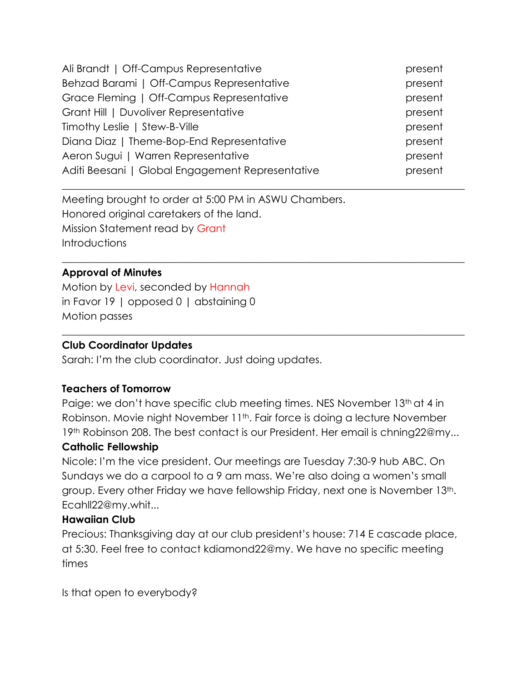| Ali Brandt   Off-Campus Representative           | present |
|--------------------------------------------------|---------|
| Behzad Barami   Off-Campus Representative        | present |
| Grace Fleming   Off-Campus Representative        | present |
| Grant Hill   Duvoliver Representative            | present |
| Timothy Leslie   Stew-B-Ville                    | present |
| Diana Diaz   Theme-Bop-End Representative        | present |
| Aeron Sugui   Warren Representative              | present |
| Aditi Beesani   Global Engagement Representative | present |
|                                                  |         |

Meeting brought to order at 5:00 PM in ASWU Chambers. Honored original caretakers of the land. Mission Statement read by Grant **Introductions** 

#### **Approval of Minutes**

Motion by Levi, seconded by Hannah in Favor 19 | opposed 0 | abstaining 0 Motion passes

#### **Club Coordinator Updates**

Sarah: I'm the club coordinator. Just doing updates.

#### **Teachers of Tomorrow**

Paige: we don't have specific club meeting times. NES November 13th at 4 in Robinson. Movie night November 11<sup>th</sup>. Fair force is doing a lecture November 19th Robinson 208. The best contact is our President. Her email is chning22@my...

 $\_$  , and the set of the set of the set of the set of the set of the set of the set of the set of the set of the set of the set of the set of the set of the set of the set of the set of the set of the set of the set of th

 $\_$  , and the set of the set of the set of the set of the set of the set of the set of the set of the set of the set of the set of the set of the set of the set of the set of the set of the set of the set of the set of th

#### **Catholic Fellowship**

Nicole: I'm the vice president. Our meetings are Tuesday 7:30-9 hub ABC. On Sundays we do a carpool to a 9 am mass. We're also doing a women's small group. Every other Friday we have fellowship Friday, next one is November 13th. Ecahll22@my.whit...

#### **Hawaiian Club**

Precious: Thanksgiving day at our club president's house: 714 E cascade place, at 5:30. Feel free to contact kdiamond22@my. We have no specific meeting times

Is that open to everybody?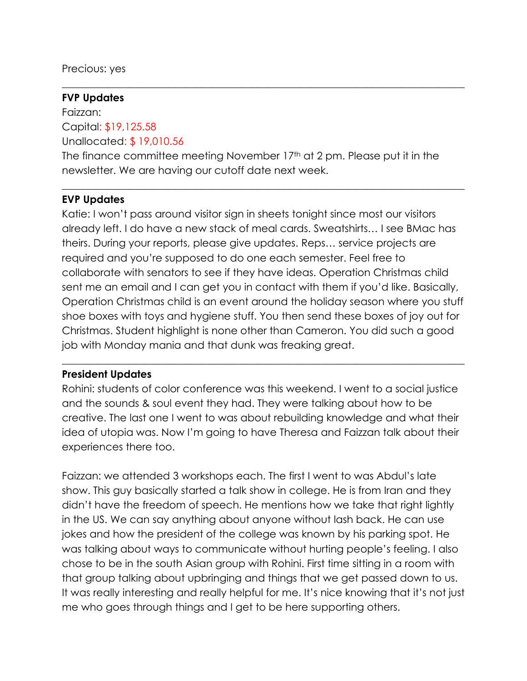Precious: yes

#### **FVP Updates**

Faizzan: Capital: \$19,125.58 Unallocated: \$ 19,010.56

The finance committee meeting November 17th at 2 pm. Please put it in the newsletter. We are having our cutoff date next week.

 $\_$  , and the set of the set of the set of the set of the set of the set of the set of the set of the set of the set of the set of the set of the set of the set of the set of the set of the set of the set of the set of th

 $\_$  , and the set of the set of the set of the set of the set of the set of the set of the set of the set of the set of the set of the set of the set of the set of the set of the set of the set of the set of the set of th

#### **EVP Updates**

Katie: I won't pass around visitor sign in sheets tonight since most our visitors already left. I do have a new stack of meal cards. Sweatshirts… I see BMac has theirs. During your reports, please give updates. Reps… service projects are required and you're supposed to do one each semester. Feel free to collaborate with senators to see if they have ideas. Operation Christmas child sent me an email and I can get you in contact with them if you'd like. Basically, Operation Christmas child is an event around the holiday season where you stuff shoe boxes with toys and hygiene stuff. You then send these boxes of joy out for Christmas. Student highlight is none other than Cameron. You did such a good job with Monday mania and that dunk was freaking great.

#### **President Updates**

Rohini: students of color conference was this weekend. I went to a social justice and the sounds & soul event they had. They were talking about how to be creative. The last one I went to was about rebuilding knowledge and what their idea of utopia was. Now I'm going to have Theresa and Faizzan talk about their experiences there too.

 $\_$  , and the set of the set of the set of the set of the set of the set of the set of the set of the set of the set of the set of the set of the set of the set of the set of the set of the set of the set of the set of th

Faizzan: we attended 3 workshops each. The first I went to was Abdul's late show. This guy basically started a talk show in college. He is from Iran and they didn't have the freedom of speech. He mentions how we take that right lightly in the US. We can say anything about anyone without lash back. He can use jokes and how the president of the college was known by his parking spot. He was talking about ways to communicate without hurting people's feeling. I also chose to be in the south Asian group with Rohini. First time sitting in a room with that group talking about upbringing and things that we get passed down to us. It was really interesting and really helpful for me. It's nice knowing that it's not just me who goes through things and I get to be here supporting others.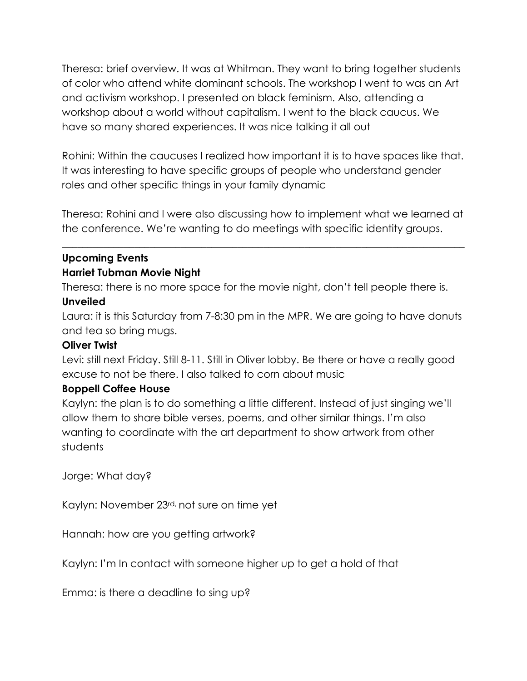Theresa: brief overview. It was at Whitman. They want to bring together students of color who attend white dominant schools. The workshop I went to was an Art and activism workshop. I presented on black feminism. Also, attending a workshop about a world without capitalism. I went to the black caucus. We have so many shared experiences. It was nice talking it all out

Rohini: Within the caucuses I realized how important it is to have spaces like that. It was interesting to have specific groups of people who understand gender roles and other specific things in your family dynamic

Theresa: Rohini and I were also discussing how to implement what we learned at the conference. We're wanting to do meetings with specific identity groups.

 $\_$  , and the set of the set of the set of the set of the set of the set of the set of the set of the set of the set of the set of the set of the set of the set of the set of the set of the set of the set of the set of th

# **Upcoming Events Harriet Tubman Movie Night**

Theresa: there is no more space for the movie night, don't tell people there is.

## **Unveiled**

Laura: it is this Saturday from 7-8:30 pm in the MPR. We are going to have donuts and tea so bring mugs.

## **Oliver Twist**

Levi: still next Friday. Still 8-11. Still in Oliver lobby. Be there or have a really good excuse to not be there. I also talked to corn about music

## **Boppell Coffee House**

Kaylyn: the plan is to do something a little different. Instead of just singing we'll allow them to share bible verses, poems, and other similar things. I'm also wanting to coordinate with the art department to show artwork from other students

Jorge: What day?

Kaylyn: November 23rd, not sure on time yet

Hannah: how are you getting artwork?

Kaylyn: I'm In contact with someone higher up to get a hold of that

Emma: is there a deadline to sing up?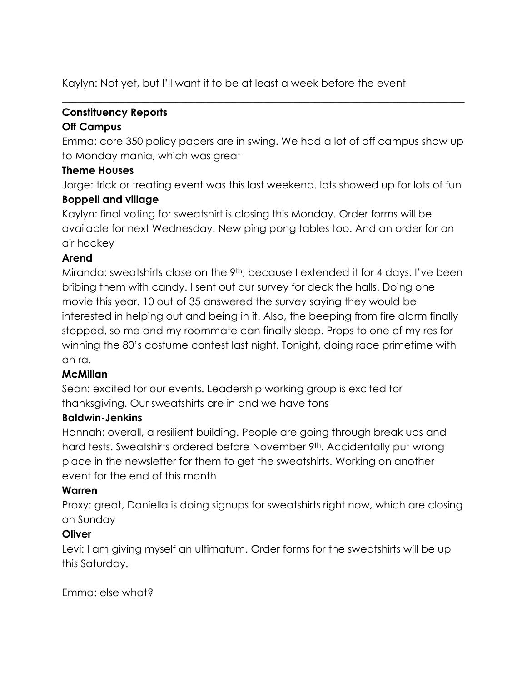Kaylyn: Not yet, but I'll want it to be at least a week before the event

# **Constituency Reports**

## **Off Campus**

Emma: core 350 policy papers are in swing. We had a lot of off campus show up to Monday mania, which was great

 $\_$  , and the set of the set of the set of the set of the set of the set of the set of the set of the set of the set of the set of the set of the set of the set of the set of the set of the set of the set of the set of th

## **Theme Houses**

Jorge: trick or treating event was this last weekend. lots showed up for lots of fun **Boppell and village**

Kaylyn: final voting for sweatshirt is closing this Monday. Order forms will be available for next Wednesday. New ping pong tables too. And an order for an air hockey

## **Arend**

Miranda: sweatshirts close on the 9<sup>th</sup>, because I extended it for 4 days. I've been bribing them with candy. I sent out our survey for deck the halls. Doing one movie this year. 10 out of 35 answered the survey saying they would be interested in helping out and being in it. Also, the beeping from fire alarm finally stopped, so me and my roommate can finally sleep. Props to one of my res for winning the 80's costume contest last night. Tonight, doing race primetime with an ra.

## **McMillan**

Sean: excited for our events. Leadership working group is excited for thanksgiving. Our sweatshirts are in and we have tons

## **Baldwin-Jenkins**

Hannah: overall, a resilient building. People are going through break ups and hard tests. Sweatshirts ordered before November 9<sup>th</sup>. Accidentally put wrong place in the newsletter for them to get the sweatshirts. Working on another event for the end of this month

## **Warren**

Proxy: great, Daniella is doing signups for sweatshirts right now, which are closing on Sunday

## **Oliver**

Levi: I am giving myself an ultimatum. Order forms for the sweatshirts will be up this Saturday.

Emma: else what?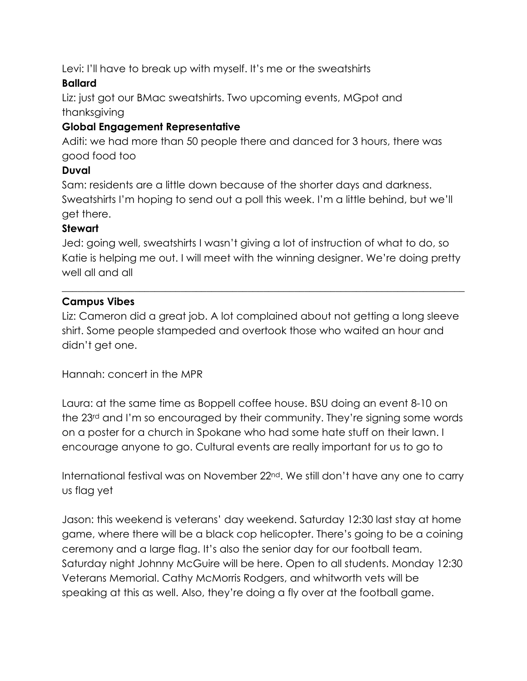Levi: I'll have to break up with myself. It's me or the sweatshirts

# **Ballard**

Liz: just got our BMac sweatshirts. Two upcoming events, MGpot and thanksgiving

# **Global Engagement Representative**

Aditi: we had more than 50 people there and danced for 3 hours, there was good food too

# **Duval**

Sam: residents are a little down because of the shorter days and darkness. Sweatshirts I'm hoping to send out a poll this week. I'm a little behind, but we'll get there.

## **Stewart**

Jed: going well, sweatshirts I wasn't giving a lot of instruction of what to do, so Katie is helping me out. I will meet with the winning designer. We're doing pretty well all and all

 $\_$  , and the set of the set of the set of the set of the set of the set of the set of the set of the set of the set of the set of the set of the set of the set of the set of the set of the set of the set of the set of th

# **Campus Vibes**

Liz: Cameron did a great job. A lot complained about not getting a long sleeve shirt. Some people stampeded and overtook those who waited an hour and didn't get one.

Hannah: concert in the MPR

Laura: at the same time as Boppell coffee house. BSU doing an event 8-10 on the 23<sup>rd</sup> and I'm so encouraged by their community. They're signing some words on a poster for a church in Spokane who had some hate stuff on their lawn. I encourage anyone to go. Cultural events are really important for us to go to

International festival was on November 22<sup>nd</sup>. We still don't have any one to carry us flag yet

Jason: this weekend is veterans' day weekend. Saturday 12:30 last stay at home game, where there will be a black cop helicopter. There's going to be a coining ceremony and a large flag. It's also the senior day for our football team. Saturday night Johnny McGuire will be here. Open to all students. Monday 12:30 Veterans Memorial. Cathy McMorris Rodgers, and whitworth vets will be speaking at this as well. Also, they're doing a fly over at the football game.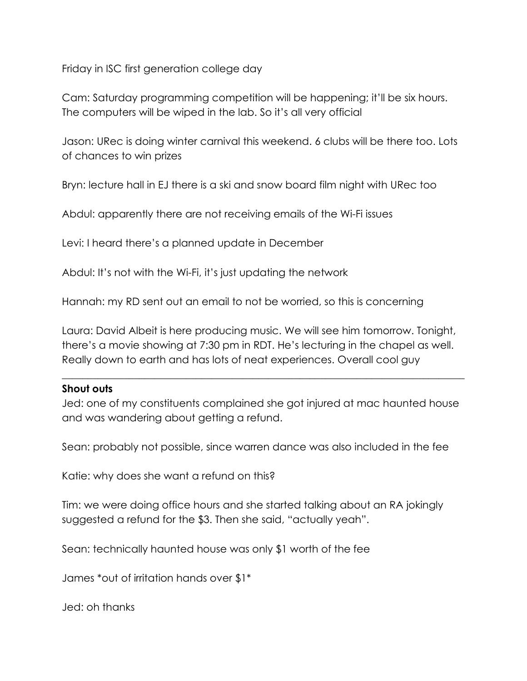Friday in ISC first generation college day

Cam: Saturday programming competition will be happening; it'll be six hours. The computers will be wiped in the lab. So it's all very official

Jason: URec is doing winter carnival this weekend. 6 clubs will be there too. Lots of chances to win prizes

Bryn: lecture hall in EJ there is a ski and snow board film night with URec too

Abdul: apparently there are not receiving emails of the Wi-Fi issues

Levi: I heard there's a planned update in December

Abdul: It's not with the Wi-Fi, it's just updating the network

Hannah: my RD sent out an email to not be worried, so this is concerning

Laura: David Albeit is here producing music. We will see him tomorrow. Tonight, there's a movie showing at 7:30 pm in RDT. He's lecturing in the chapel as well. Really down to earth and has lots of neat experiences. Overall cool guy

 $\_$  , and the set of the set of the set of the set of the set of the set of the set of the set of the set of the set of the set of the set of the set of the set of the set of the set of the set of the set of the set of th

#### **Shout outs**

Jed: one of my constituents complained she got injured at mac haunted house and was wandering about getting a refund.

Sean: probably not possible, since warren dance was also included in the fee

Katie: why does she want a refund on this?

Tim: we were doing office hours and she started talking about an RA jokingly suggested a refund for the \$3. Then she said, "actually yeah".

Sean: technically haunted house was only \$1 worth of the fee

James \*out of irritation hands over \$1\*

Jed: oh thanks